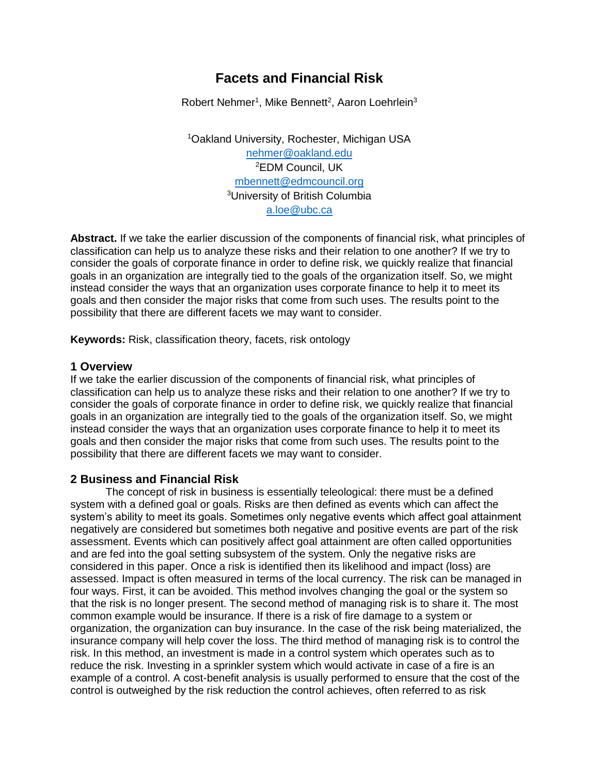# **Facets and Financial Risk**

Robert Nehmer<sup>1</sup>, Mike Bennett<sup>2</sup>, Aaron Loehrlein<sup>3</sup>

<sup>1</sup>Oakland University, Rochester, Michigan USA [nehmer@oakland.edu](mailto:nehmer@oakland.edu) <sup>2</sup>EDM Council, UK [mbennett@edmcouncil.org](mailto:mbennett@edmcouncil.org) <sup>3</sup>University of British Columbia [a.loe@ubc.ca](mailto:a.loe@ubc.ca)

**Abstract.** If we take the earlier discussion of the components of financial risk, what principles of classification can help us to analyze these risks and their relation to one another? If we try to consider the goals of corporate finance in order to define risk, we quickly realize that financial goals in an organization are integrally tied to the goals of the organization itself. So, we might instead consider the ways that an organization uses corporate finance to help it to meet its goals and then consider the major risks that come from such uses. The results point to the possibility that there are different facets we may want to consider.

**Keywords:** Risk, classification theory, facets, risk ontology

## **1 Overview**

If we take the earlier discussion of the components of financial risk, what principles of classification can help us to analyze these risks and their relation to one another? If we try to consider the goals of corporate finance in order to define risk, we quickly realize that financial goals in an organization are integrally tied to the goals of the organization itself. So, we might instead consider the ways that an organization uses corporate finance to help it to meet its goals and then consider the major risks that come from such uses. The results point to the possibility that there are different facets we may want to consider.

## **2 Business and Financial Risk**

The concept of risk in business is essentially teleological: there must be a defined system with a defined goal or goals. Risks are then defined as events which can affect the system's ability to meet its goals. Sometimes only negative events which affect goal attainment negatively are considered but sometimes both negative and positive events are part of the risk assessment. Events which can positively affect goal attainment are often called opportunities and are fed into the goal setting subsystem of the system. Only the negative risks are considered in this paper. Once a risk is identified then its likelihood and impact (loss) are assessed. Impact is often measured in terms of the local currency. The risk can be managed in four ways. First, it can be avoided. This method involves changing the goal or the system so that the risk is no longer present. The second method of managing risk is to share it. The most common example would be insurance. If there is a risk of fire damage to a system or organization, the organization can buy insurance. In the case of the risk being materialized, the insurance company will help cover the loss. The third method of managing risk is to control the risk. In this method, an investment is made in a control system which operates such as to reduce the risk. Investing in a sprinkler system which would activate in case of a fire is an example of a control. A cost-benefit analysis is usually performed to ensure that the cost of the control is outweighed by the risk reduction the control achieves, often referred to as risk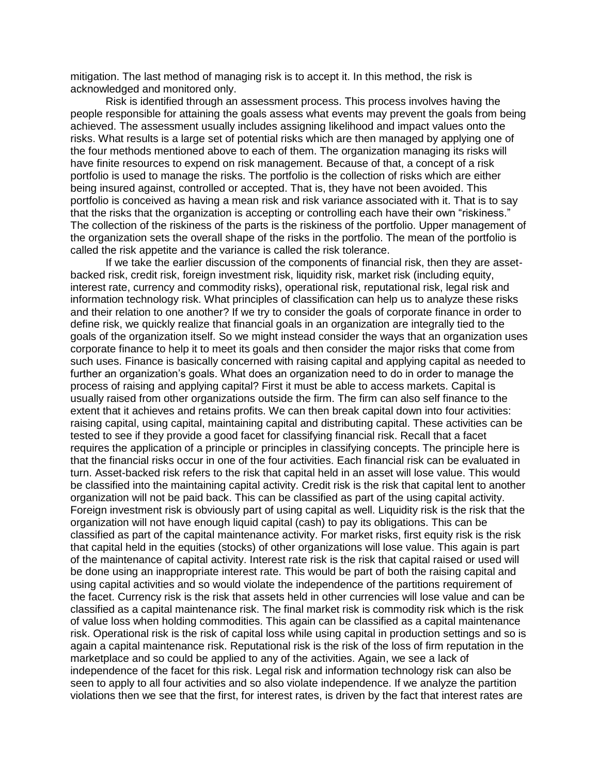mitigation. The last method of managing risk is to accept it. In this method, the risk is acknowledged and monitored only.

Risk is identified through an assessment process. This process involves having the people responsible for attaining the goals assess what events may prevent the goals from being achieved. The assessment usually includes assigning likelihood and impact values onto the risks. What results is a large set of potential risks which are then managed by applying one of the four methods mentioned above to each of them. The organization managing its risks will have finite resources to expend on risk management. Because of that, a concept of a risk portfolio is used to manage the risks. The portfolio is the collection of risks which are either being insured against, controlled or accepted. That is, they have not been avoided. This portfolio is conceived as having a mean risk and risk variance associated with it. That is to say that the risks that the organization is accepting or controlling each have their own "riskiness." The collection of the riskiness of the parts is the riskiness of the portfolio. Upper management of the organization sets the overall shape of the risks in the portfolio. The mean of the portfolio is called the risk appetite and the variance is called the risk tolerance.

If we take the earlier discussion of the components of financial risk, then they are assetbacked risk, credit risk, foreign investment risk, liquidity risk, market risk (including equity, interest rate, currency and commodity risks), operational risk, reputational risk, legal risk and information technology risk. What principles of classification can help us to analyze these risks and their relation to one another? If we try to consider the goals of corporate finance in order to define risk, we quickly realize that financial goals in an organization are integrally tied to the goals of the organization itself. So we might instead consider the ways that an organization uses corporate finance to help it to meet its goals and then consider the major risks that come from such uses. Finance is basically concerned with raising capital and applying capital as needed to further an organization's goals. What does an organization need to do in order to manage the process of raising and applying capital? First it must be able to access markets. Capital is usually raised from other organizations outside the firm. The firm can also self finance to the extent that it achieves and retains profits. We can then break capital down into four activities: raising capital, using capital, maintaining capital and distributing capital. These activities can be tested to see if they provide a good facet for classifying financial risk. Recall that a facet requires the application of a principle or principles in classifying concepts. The principle here is that the financial risks occur in one of the four activities. Each financial risk can be evaluated in turn. Asset-backed risk refers to the risk that capital held in an asset will lose value. This would be classified into the maintaining capital activity. Credit risk is the risk that capital lent to another organization will not be paid back. This can be classified as part of the using capital activity. Foreign investment risk is obviously part of using capital as well. Liquidity risk is the risk that the organization will not have enough liquid capital (cash) to pay its obligations. This can be classified as part of the capital maintenance activity. For market risks, first equity risk is the risk that capital held in the equities (stocks) of other organizations will lose value. This again is part of the maintenance of capital activity. Interest rate risk is the risk that capital raised or used will be done using an inappropriate interest rate. This would be part of both the raising capital and using capital activities and so would violate the independence of the partitions requirement of the facet. Currency risk is the risk that assets held in other currencies will lose value and can be classified as a capital maintenance risk. The final market risk is commodity risk which is the risk of value loss when holding commodities. This again can be classified as a capital maintenance risk. Operational risk is the risk of capital loss while using capital in production settings and so is again a capital maintenance risk. Reputational risk is the risk of the loss of firm reputation in the marketplace and so could be applied to any of the activities. Again, we see a lack of independence of the facet for this risk. Legal risk and information technology risk can also be seen to apply to all four activities and so also violate independence. If we analyze the partition violations then we see that the first, for interest rates, is driven by the fact that interest rates are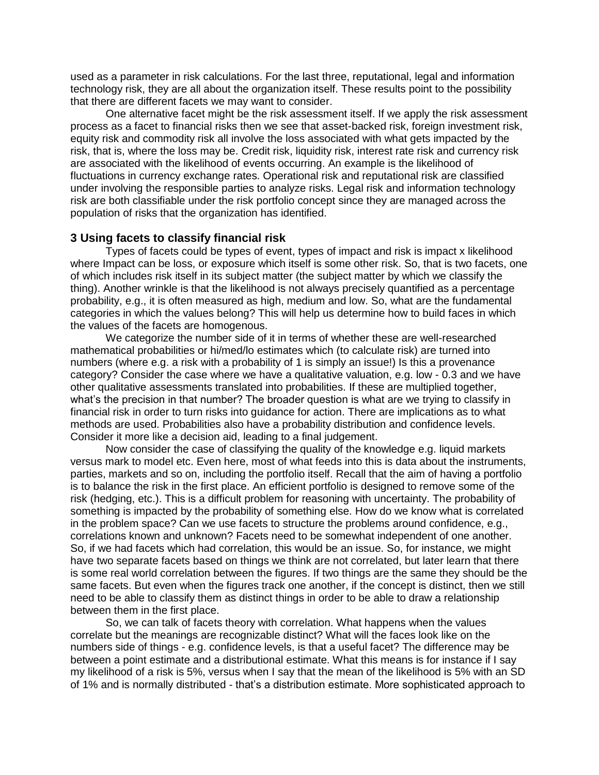used as a parameter in risk calculations. For the last three, reputational, legal and information technology risk, they are all about the organization itself. These results point to the possibility that there are different facets we may want to consider.

One alternative facet might be the risk assessment itself. If we apply the risk assessment process as a facet to financial risks then we see that asset-backed risk, foreign investment risk, equity risk and commodity risk all involve the loss associated with what gets impacted by the risk, that is, where the loss may be. Credit risk, liquidity risk, interest rate risk and currency risk are associated with the likelihood of events occurring. An example is the likelihood of fluctuations in currency exchange rates. Operational risk and reputational risk are classified under involving the responsible parties to analyze risks. Legal risk and information technology risk are both classifiable under the risk portfolio concept since they are managed across the population of risks that the organization has identified.

### **3 Using facets to classify financial risk**

Types of facets could be types of event, types of impact and risk is impact x likelihood where Impact can be loss, or exposure which itself is some other risk. So, that is two facets, one of which includes risk itself in its subject matter (the subject matter by which we classify the thing). Another wrinkle is that the likelihood is not always precisely quantified as a percentage probability, e.g., it is often measured as high, medium and low. So, what are the fundamental categories in which the values belong? This will help us determine how to build faces in which the values of the facets are homogenous.

We categorize the number side of it in terms of whether these are well-researched mathematical probabilities or hi/med/lo estimates which (to calculate risk) are turned into numbers (where e.g. a risk with a probability of 1 is simply an issue!) Is this a provenance category? Consider the case where we have a qualitative valuation, e.g. low - 0.3 and we have other qualitative assessments translated into probabilities. If these are multiplied together, what's the precision in that number? The broader question is what are we trying to classify in financial risk in order to turn risks into guidance for action. There are implications as to what methods are used. Probabilities also have a probability distribution and confidence levels. Consider it more like a decision aid, leading to a final judgement.

Now consider the case of classifying the quality of the knowledge e.g. liquid markets versus mark to model etc. Even here, most of what feeds into this is data about the instruments, parties, markets and so on, including the portfolio itself. Recall that the aim of having a portfolio is to balance the risk in the first place. An efficient portfolio is designed to remove some of the risk (hedging, etc.). This is a difficult problem for reasoning with uncertainty. The probability of something is impacted by the probability of something else. How do we know what is correlated in the problem space? Can we use facets to structure the problems around confidence, e.g., correlations known and unknown? Facets need to be somewhat independent of one another. So, if we had facets which had correlation, this would be an issue. So, for instance, we might have two separate facets based on things we think are not correlated, but later learn that there is some real world correlation between the figures. If two things are the same they should be the same facets. But even when the figures track one another, if the concept is distinct, then we still need to be able to classify them as distinct things in order to be able to draw a relationship between them in the first place.

So, we can talk of facets theory with correlation. What happens when the values correlate but the meanings are recognizable distinct? What will the faces look like on the numbers side of things - e.g. confidence levels, is that a useful facet? The difference may be between a point estimate and a distributional estimate. What this means is for instance if I say my likelihood of a risk is 5%, versus when I say that the mean of the likelihood is 5% with an SD of 1% and is normally distributed - that's a distribution estimate. More sophisticated approach to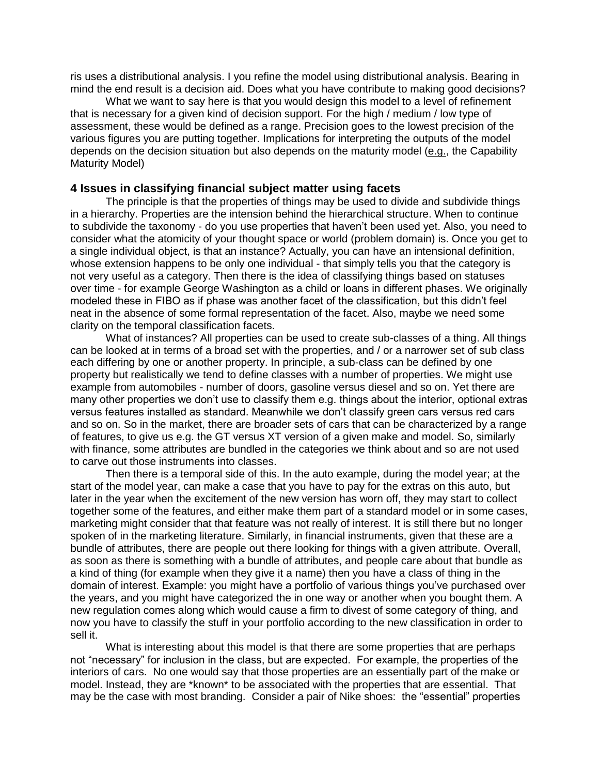ris uses a distributional analysis. I you refine the model using distributional analysis. Bearing in mind the end result is a decision aid. Does what you have contribute to making good decisions?

What we want to say here is that you would design this model to a level of refinement that is necessary for a given kind of decision support. For the high / medium / low type of assessment, these would be defined as a range. Precision goes to the lowest precision of the various figures you are putting together. Implications for interpreting the outputs of the model depends on the decision situation but also depends on the maturity model (e.g., the Capability Maturity Model)

#### **4 Issues in classifying financial subject matter using facets**

The principle is that the properties of things may be used to divide and subdivide things in a hierarchy. Properties are the intension behind the hierarchical structure. When to continue to subdivide the taxonomy - do you use properties that haven't been used yet. Also, you need to consider what the atomicity of your thought space or world (problem domain) is. Once you get to a single individual object, is that an instance? Actually, you can have an intensional definition, whose extension happens to be only one individual - that simply tells you that the category is not very useful as a category. Then there is the idea of classifying things based on statuses over time - for example George Washington as a child or loans in different phases. We originally modeled these in FIBO as if phase was another facet of the classification, but this didn't feel neat in the absence of some formal representation of the facet. Also, maybe we need some clarity on the temporal classification facets.

What of instances? All properties can be used to create sub-classes of a thing. All things can be looked at in terms of a broad set with the properties, and / or a narrower set of sub class each differing by one or another property. In principle, a sub-class can be defined by one property but realistically we tend to define classes with a number of properties. We might use example from automobiles - number of doors, gasoline versus diesel and so on. Yet there are many other properties we don't use to classify them e.g. things about the interior, optional extras versus features installed as standard. Meanwhile we don't classify green cars versus red cars and so on. So in the market, there are broader sets of cars that can be characterized by a range of features, to give us e.g. the GT versus XT version of a given make and model. So, similarly with finance, some attributes are bundled in the categories we think about and so are not used to carve out those instruments into classes.

Then there is a temporal side of this. In the auto example, during the model year; at the start of the model year, can make a case that you have to pay for the extras on this auto, but later in the year when the excitement of the new version has worn off, they may start to collect together some of the features, and either make them part of a standard model or in some cases, marketing might consider that that feature was not really of interest. It is still there but no longer spoken of in the marketing literature. Similarly, in financial instruments, given that these are a bundle of attributes, there are people out there looking for things with a given attribute. Overall, as soon as there is something with a bundle of attributes, and people care about that bundle as a kind of thing (for example when they give it a name) then you have a class of thing in the domain of interest. Example: you might have a portfolio of various things you've purchased over the years, and you might have categorized the in one way or another when you bought them. A new regulation comes along which would cause a firm to divest of some category of thing, and now you have to classify the stuff in your portfolio according to the new classification in order to sell it.

What is interesting about this model is that there are some properties that are perhaps not "necessary" for inclusion in the class, but are expected. For example, the properties of the interiors of cars. No one would say that those properties are an essentially part of the make or model. Instead, they are \*known\* to be associated with the properties that are essential. That may be the case with most branding. Consider a pair of Nike shoes: the "essential" properties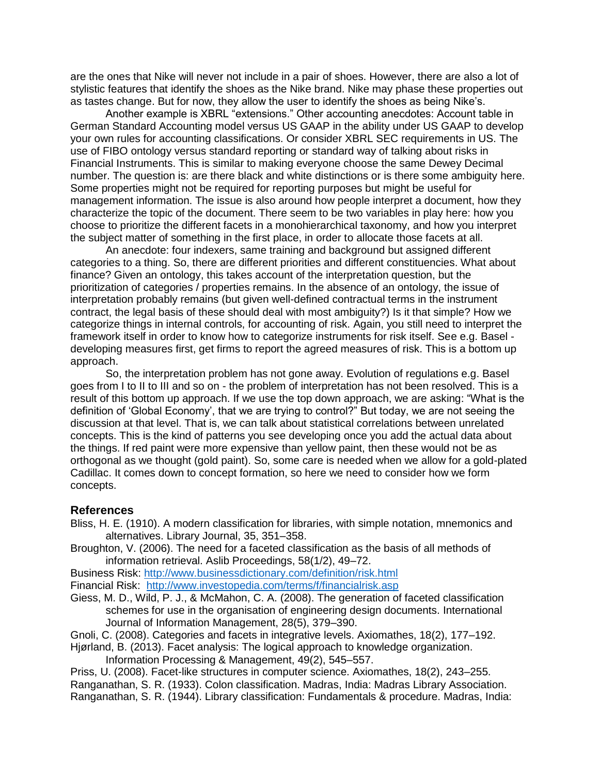are the ones that Nike will never not include in a pair of shoes. However, there are also a lot of stylistic features that identify the shoes as the Nike brand. Nike may phase these properties out as tastes change. But for now, they allow the user to identify the shoes as being Nike's.

Another example is XBRL "extensions." Other accounting anecdotes: Account table in German Standard Accounting model versus US GAAP in the ability under US GAAP to develop your own rules for accounting classifications. Or consider XBRL SEC requirements in US. The use of FIBO ontology versus standard reporting or standard way of talking about risks in Financial Instruments. This is similar to making everyone choose the same Dewey Decimal number. The question is: are there black and white distinctions or is there some ambiguity here. Some properties might not be required for reporting purposes but might be useful for management information. The issue is also around how people interpret a document, how they characterize the topic of the document. There seem to be two variables in play here: how you choose to prioritize the different facets in a monohierarchical taxonomy, and how you interpret the subject matter of something in the first place, in order to allocate those facets at all.

An anecdote: four indexers, same training and background but assigned different categories to a thing. So, there are different priorities and different constituencies. What about finance? Given an ontology, this takes account of the interpretation question, but the prioritization of categories / properties remains. In the absence of an ontology, the issue of interpretation probably remains (but given well-defined contractual terms in the instrument contract, the legal basis of these should deal with most ambiguity?) Is it that simple? How we categorize things in internal controls, for accounting of risk. Again, you still need to interpret the framework itself in order to know how to categorize instruments for risk itself. See e.g. Basel developing measures first, get firms to report the agreed measures of risk. This is a bottom up approach.

So, the interpretation problem has not gone away. Evolution of regulations e.g. Basel goes from I to II to III and so on - the problem of interpretation has not been resolved. This is a result of this bottom up approach. If we use the top down approach, we are asking: "What is the definition of 'Global Economy', that we are trying to control?" But today, we are not seeing the discussion at that level. That is, we can talk about statistical correlations between unrelated concepts. This is the kind of patterns you see developing once you add the actual data about the things. If red paint were more expensive than yellow paint, then these would not be as orthogonal as we thought (gold paint). So, some care is needed when we allow for a gold-plated Cadillac. It comes down to concept formation, so here we need to consider how we form concepts.

#### **References**

- Bliss, H. E. (1910). A modern classification for libraries, with simple notation, mnemonics and alternatives. Library Journal, 35, 351–358.
- Broughton, V. (2006). The need for a faceted classification as the basis of all methods of information retrieval. Aslib Proceedings, 58(1/2), 49–72.

Business Risk:<http://www.businessdictionary.com/definition/risk.html> Financial Risk:<http://www.investopedia.com/terms/f/financialrisk.asp>

Giess, M. D., Wild, P. J., & McMahon, C. A. (2008). The generation of faceted classification schemes for use in the organisation of engineering design documents. International Journal of Information Management, 28(5), 379–390.

Gnoli, C. (2008). Categories and facets in integrative levels. Axiomathes, 18(2), 177–192.

Hjørland, B. (2013). Facet analysis: The logical approach to knowledge organization. Information Processing & Management, 49(2), 545–557.

Priss, U. (2008). Facet-like structures in computer science. Axiomathes, 18(2), 243–255.

Ranganathan, S. R. (1933). Colon classification. Madras, India: Madras Library Association.

Ranganathan, S. R. (1944). Library classification: Fundamentals & procedure. Madras, India: